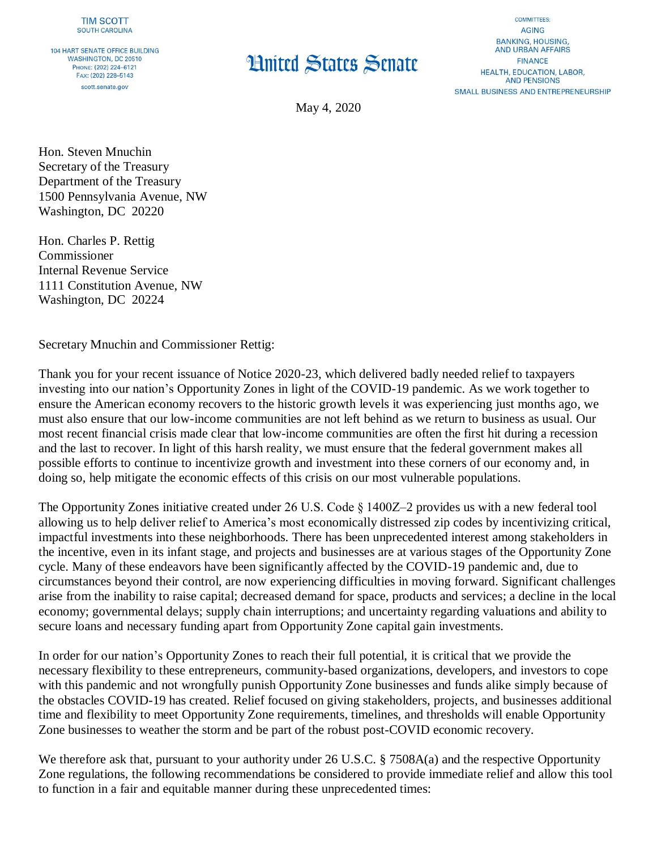**104 HART SENATE OFFICE BUILDING WASHINGTON, DC 20510** PHONE: (202) 224-6121 FAX: (202) 228-5143 scott.senate.gov

## **Hnited States Senate**

**COMMITTEES: AGING BANKING, HOUSING. AND URBAN AFFAIRS FINANCE HEALTH, EDUCATION, LABOR, AND PENSIONS SMALL BUSINESS AND ENTREPRENEURSHIP** 

May 4, 2020

Hon. Steven Mnuchin Secretary of the Treasury Department of the Treasury 1500 Pennsylvania Avenue, NW Washington, DC 20220

Hon. Charles P. Rettig Commissioner Internal Revenue Service 1111 Constitution Avenue, NW Washington, DC 20224

Secretary Mnuchin and Commissioner Rettig:

Thank you for your recent issuance of Notice 2020-23, which delivered badly needed relief to taxpayers investing into our nation's Opportunity Zones in light of the COVID-19 pandemic. As we work together to ensure the American economy recovers to the historic growth levels it was experiencing just months ago, we must also ensure that our low-income communities are not left behind as we return to business as usual. Our most recent financial crisis made clear that low-income communities are often the first hit during a recession and the last to recover. In light of this harsh reality, we must ensure that the federal government makes all possible efforts to continue to incentivize growth and investment into these corners of our economy and, in doing so, help mitigate the economic effects of this crisis on our most vulnerable populations.

The Opportunity Zones initiative created under 26 U.S. Code § 1400Z–2 provides us with a new federal tool allowing us to help deliver relief to America's most economically distressed zip codes by incentivizing critical, impactful investments into these neighborhoods. There has been unprecedented interest among stakeholders in the incentive, even in its infant stage, and projects and businesses are at various stages of the Opportunity Zone cycle. Many of these endeavors have been significantly affected by the COVID-19 pandemic and, due to circumstances beyond their control, are now experiencing difficulties in moving forward. Significant challenges arise from the inability to raise capital; decreased demand for space, products and services; a decline in the local economy; governmental delays; supply chain interruptions; and uncertainty regarding valuations and ability to secure loans and necessary funding apart from Opportunity Zone capital gain investments.

In order for our nation's Opportunity Zones to reach their full potential, it is critical that we provide the necessary flexibility to these entrepreneurs, community-based organizations, developers, and investors to cope with this pandemic and not wrongfully punish Opportunity Zone businesses and funds alike simply because of the obstacles COVID-19 has created. Relief focused on giving stakeholders, projects, and businesses additional time and flexibility to meet Opportunity Zone requirements, timelines, and thresholds will enable Opportunity Zone businesses to weather the storm and be part of the robust post-COVID economic recovery.

We therefore ask that, pursuant to your authority under 26 U.S.C. § 7508A(a) and the respective Opportunity Zone regulations, the following recommendations be considered to provide immediate relief and allow this tool to function in a fair and equitable manner during these unprecedented times: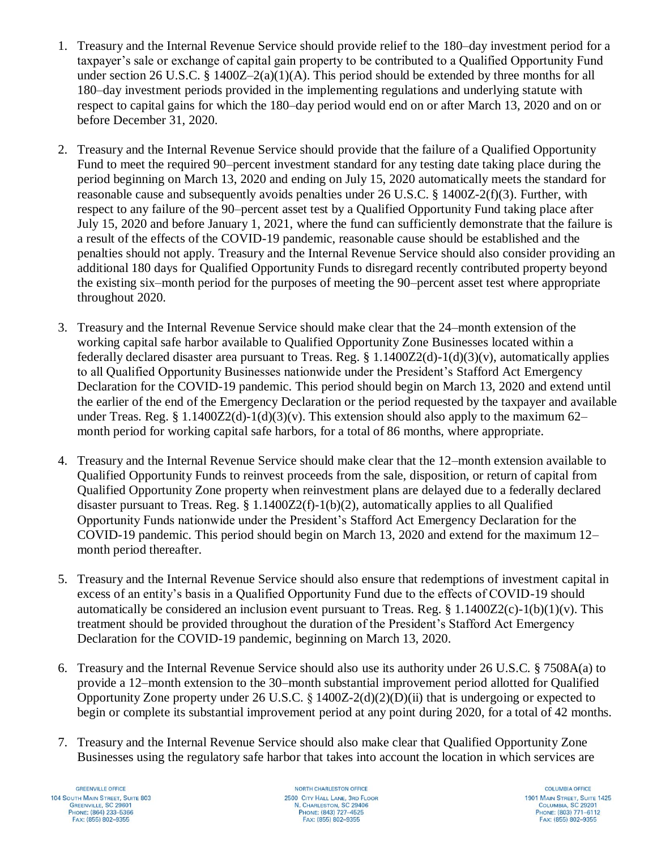- 1. Treasury and the Internal Revenue Service should provide relief to the 180–day investment period for a taxpayer's sale or exchange of capital gain property to be contributed to a Qualified Opportunity Fund under section 26 U.S.C. § 1400Z-2(a)(1)(A). This period should be extended by three months for all 180–day investment periods provided in the implementing regulations and underlying statute with respect to capital gains for which the 180–day period would end on or after March 13, 2020 and on or before December 31, 2020.
- 2. Treasury and the Internal Revenue Service should provide that the failure of a Qualified Opportunity Fund to meet the required 90–percent investment standard for any testing date taking place during the period beginning on March 13, 2020 and ending on July 15, 2020 automatically meets the standard for reasonable cause and subsequently avoids penalties under 26 U.S.C. § 1400Z-2(f)(3). Further, with respect to any failure of the 90–percent asset test by a Qualified Opportunity Fund taking place after July 15, 2020 and before January 1, 2021, where the fund can sufficiently demonstrate that the failure is a result of the effects of the COVID-19 pandemic, reasonable cause should be established and the penalties should not apply. Treasury and the Internal Revenue Service should also consider providing an additional 180 days for Qualified Opportunity Funds to disregard recently contributed property beyond the existing six–month period for the purposes of meeting the 90–percent asset test where appropriate throughout 2020.
- 3. Treasury and the Internal Revenue Service should make clear that the 24–month extension of the working capital safe harbor available to Qualified Opportunity Zone Businesses located within a federally declared disaster area pursuant to Treas. Reg. § 1.1400Z2(d)-1(d)(3)(v), automatically applies to all Qualified Opportunity Businesses nationwide under the President's Stafford Act Emergency Declaration for the COVID-19 pandemic. This period should begin on March 13, 2020 and extend until the earlier of the end of the Emergency Declaration or the period requested by the taxpayer and available under Treas. Reg. § 1.1400Z2(d)-1(d)(3)(v). This extension should also apply to the maximum 62– month period for working capital safe harbors, for a total of 86 months, where appropriate.
- 4. Treasury and the Internal Revenue Service should make clear that the 12–month extension available to Qualified Opportunity Funds to reinvest proceeds from the sale, disposition, or return of capital from Qualified Opportunity Zone property when reinvestment plans are delayed due to a federally declared disaster pursuant to Treas. Reg.  $\S 1.1400Z2(f)-1(b)(2)$ , automatically applies to all Qualified Opportunity Funds nationwide under the President's Stafford Act Emergency Declaration for the COVID-19 pandemic. This period should begin on March 13, 2020 and extend for the maximum 12– month period thereafter.
- 5. Treasury and the Internal Revenue Service should also ensure that redemptions of investment capital in excess of an entity's basis in a Qualified Opportunity Fund due to the effects of COVID-19 should automatically be considered an inclusion event pursuant to Treas. Reg.  $\frac{8}{3}$  1.1400Z2(c)-1(b)(1)(v). This treatment should be provided throughout the duration of the President's Stafford Act Emergency Declaration for the COVID-19 pandemic, beginning on March 13, 2020.
- 6. Treasury and the Internal Revenue Service should also use its authority under 26 U.S.C. § 7508A(a) to provide a 12–month extension to the 30–month substantial improvement period allotted for Qualified Opportunity Zone property under 26 U.S.C.  $\S$  1400Z-2(d)(2)(D)(ii) that is undergoing or expected to begin or complete its substantial improvement period at any point during 2020, for a total of 42 months.
- 7. Treasury and the Internal Revenue Service should also make clear that Qualified Opportunity Zone Businesses using the regulatory safe harbor that takes into account the location in which services are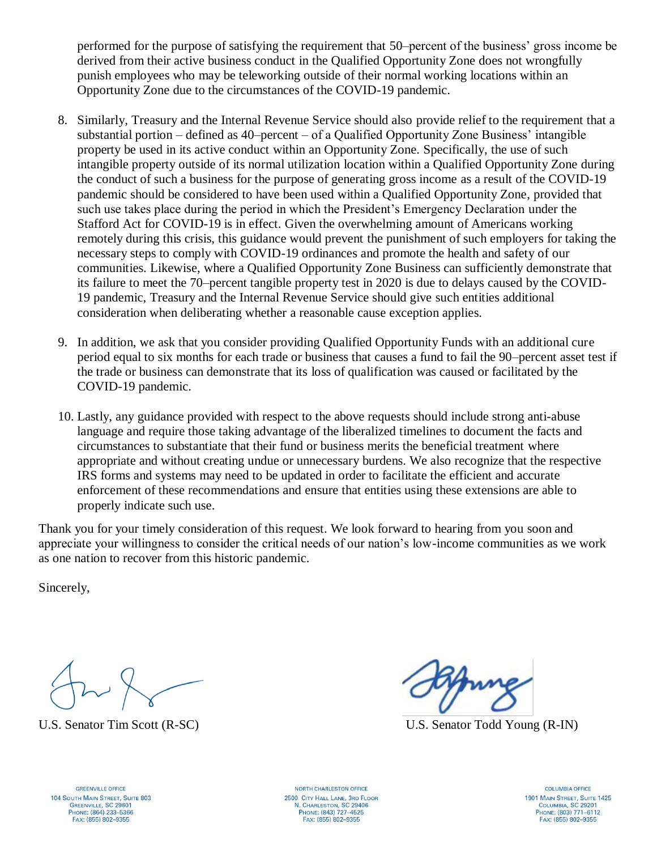performed for the purpose of satisfying the requirement that 50–percent of the business' gross income be derived from their active business conduct in the Qualified Opportunity Zone does not wrongfully punish employees who may be teleworking outside of their normal working locations within an Opportunity Zone due to the circumstances of the COVID-19 pandemic.

- 8. Similarly, Treasury and the Internal Revenue Service should also provide relief to the requirement that a substantial portion – defined as 40–percent – of a Qualified Opportunity Zone Business' intangible property be used in its active conduct within an Opportunity Zone. Specifically, the use of such intangible property outside of its normal utilization location within a Qualified Opportunity Zone during the conduct of such a business for the purpose of generating gross income as a result of the COVID-19 pandemic should be considered to have been used within a Qualified Opportunity Zone, provided that such use takes place during the period in which the President's Emergency Declaration under the Stafford Act for COVID-19 is in effect. Given the overwhelming amount of Americans working remotely during this crisis, this guidance would prevent the punishment of such employers for taking the necessary steps to comply with COVID-19 ordinances and promote the health and safety of our communities. Likewise, where a Qualified Opportunity Zone Business can sufficiently demonstrate that its failure to meet the 70–percent tangible property test in 2020 is due to delays caused by the COVID-19 pandemic, Treasury and the Internal Revenue Service should give such entities additional consideration when deliberating whether a reasonable cause exception applies.
- 9. In addition, we ask that you consider providing Qualified Opportunity Funds with an additional cure period equal to six months for each trade or business that causes a fund to fail the 90–percent asset test if the trade or business can demonstrate that its loss of qualification was caused or facilitated by the COVID-19 pandemic.
- 10. Lastly, any guidance provided with respect to the above requests should include strong anti-abuse language and require those taking advantage of the liberalized timelines to document the facts and circumstances to substantiate that their fund or business merits the beneficial treatment where appropriate and without creating undue or unnecessary burdens. We also recognize that the respective IRS forms and systems may need to be updated in order to facilitate the efficient and accurate enforcement of these recommendations and ensure that entities using these extensions are able to properly indicate such use.

Thank you for your timely consideration of this request. We look forward to hearing from you soon and appreciate your willingness to consider the critical needs of our nation's low-income communities as we work as one nation to recover from this historic pandemic.

Sincerely,

U.S. Senator Tim Scott (R-SC) U.S. Senator Todd Young (R-IN)

**GREENVILLE OFFICE** 104 SOUTH MAIN STREET, SUITE 803 GREENVILLE, SC 29601 Рноме: (864) 233-5366 FAX: (855) 802-9355

NORTH CHARLESTON OFFICE 2500 CITY HALL LANE, 3RD FLOOR **N. CHARLESTON, SC 29406**<br>PHONE: (843) 727-4525 FAX: (855) 802-9355

**COLUMBIA OFFICE** 1901 MAIN STREET, SUITE 1425 COLUMBIA, SC 29201 PHONE: (803) 771-6112 FAX: (855) 802-9355